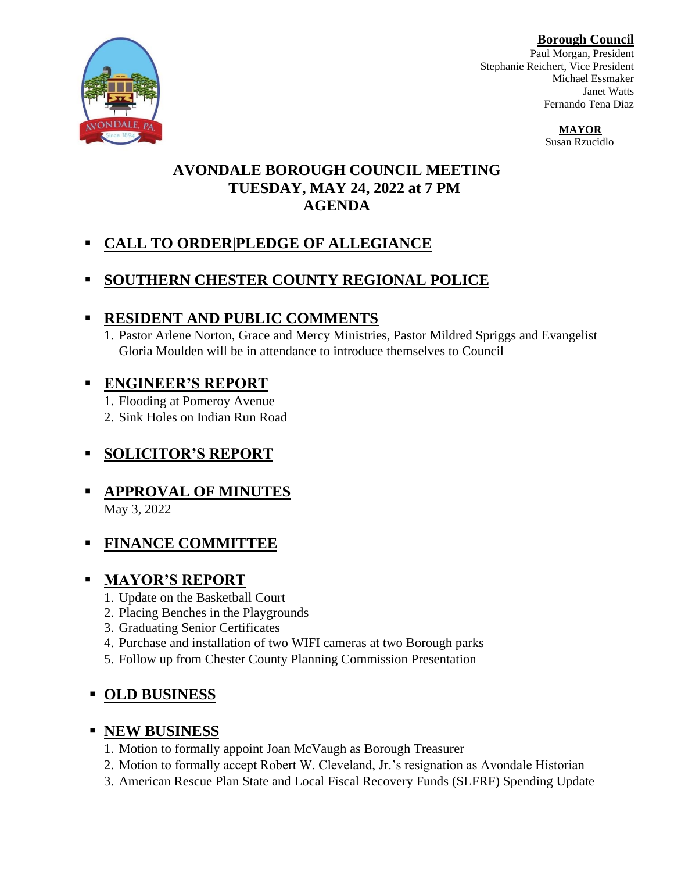**Borough Council**

Paul Morgan, President Stephanie Reichert, Vice President Michael Essmaker Janet Watts Fernando Tena Diaz

> **MAYOR**  Susan Rzucidlo

#### **AVONDALE BOROUGH COUNCIL MEETING TUESDAY, MAY 24, 2022 at 7 PM AGENDA**

# ▪ **CALL TO ORDER|PLEDGE OF ALLEGIANCE**

## **SOUTHERN CHESTER COUNTY REGIONAL POLICE**

## ▪ **RESIDENT AND PUBLIC COMMENTS**

1. Pastor Arlene Norton, Grace and Mercy Ministries, Pastor Mildred Spriggs and Evangelist Gloria Moulden will be in attendance to introduce themselves to Council

## ▪ **ENGINEER'S REPORT**

1. Flooding at Pomeroy Avenue

2. Sink Holes on Indian Run Road

## ▪ **SOLICITOR'S REPORT**

#### ▪ **APPROVAL OF MINUTES** May 3, 2022

▪ **FINANCE COMMITTEE**

# ▪ **MAYOR'S REPORT**

- 1. Update on the Basketball Court
- 2. Placing Benches in the Playgrounds
- 3. Graduating Senior Certificates
- 4. Purchase and installation of two WIFI cameras at two Borough parks
- 5. Follow up from Chester County Planning Commission Presentation

## ▪ **OLD BUSINESS**

## ▪ **NEW BUSINESS**

- 1. Motion to formally appoint Joan McVaugh as Borough Treasurer
- 2. Motion to formally accept Robert W. Cleveland, Jr.'s resignation as Avondale Historian
- 3. American Rescue Plan State and Local Fiscal Recovery Funds (SLFRF) Spending Update